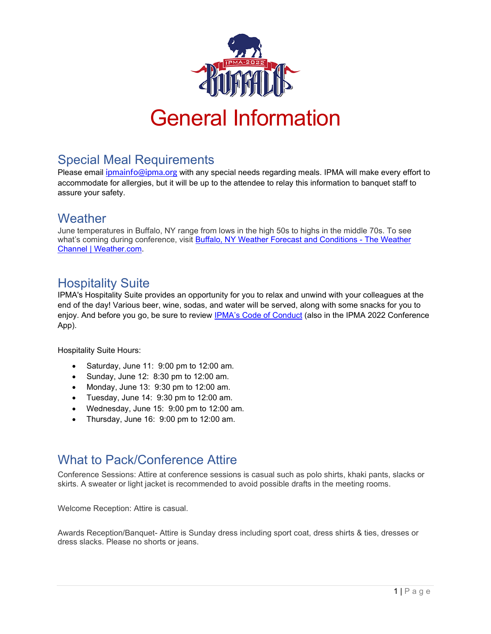

## Special Meal Requirements

Please email *[ipmainfo@ipma.org](mailto:ipmainfo@ipma.org)* with any special needs regarding meals. IPMA will make every effort to accommodate for allergies, but it will be up to the attendee to relay this information to banquet staff to assure your safety.

### **Weather**

June temperatures in Buffalo, NY range from lows in the high 50s to highs in the middle 70s. To see what's coming during conference, visit Buffalo, NY Weather Forecast and Conditions - The Weather [Channel | Weather.com.](https://weather.com/weather/today/l/8f9889797fa3a51c96a652e40dcbc26c1481f3089b3e89f0c2afcc2a7721f08b)

# Hospitality Suite

IPMA's Hospitality Suite provides an opportunity for you to relax and unwind with your colleagues at the end of the day! Various beer, wine, sodas, and water will be served, along with some snacks for you to enjoy. And before you go, be sure to review [IPMA's Code of Conduct](https://ipma.org/code-of-conduct-ipma-conference-events-community-forum/) (also in the IPMA 2022 Conference App).

Hospitality Suite Hours:

- Saturday, June 11: 9:00 pm to 12:00 am.
- Sunday, June 12: 8:30 pm to 12:00 am.
- Monday, June 13: 9:30 pm to 12:00 am.
- $\bullet$  Tuesday, June 14: 9:30 pm to 12:00 am.
- Wednesday, June 15: 9:00 pm to 12:00 am.
- Thursday, June 16: 9:00 pm to 12:00 am.

## What to Pack/Conference Attire

Conference Sessions: Attire at conference sessions is casual such as polo shirts, khaki pants, slacks or skirts. A sweater or light jacket is recommended to avoid possible drafts in the meeting rooms.

Welcome Reception: Attire is casual.

Awards Reception/Banquet- Attire is Sunday dress including sport coat, dress shirts & ties, dresses or dress slacks. Please no shorts or jeans.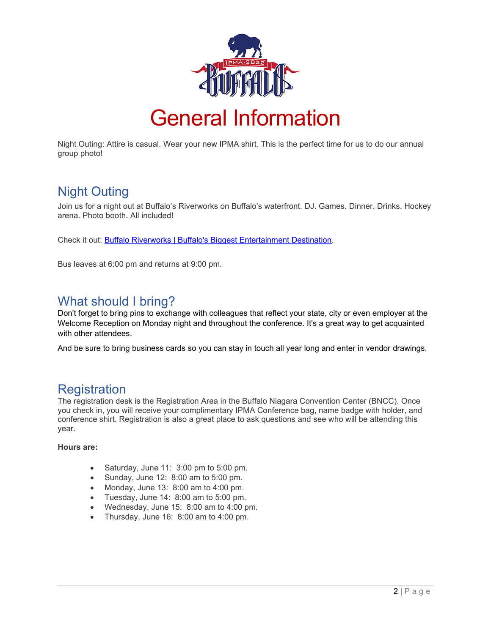

Night Outing: Attire is casual. Wear your new IPMA shirt. This is the perfect time for us to do our annual group photo!

# Night Outing

Join us for a night out at Buffalo's Riverworks on Buffalo's waterfront. DJ. Games. Dinner. Drinks. Hockey arena. Photo booth. All included!

Check it out: [Buffalo Riverworks | Buffalo's Biggest Entertainment Destination.](https://buffaloriverworks.com/)

Bus leaves at 6:00 pm and returns at 9:00 pm.

#### What should I bring?

Don't forget to bring pins to exchange with colleagues that reflect your state, city or even employer at the Welcome Reception on Monday night and throughout the conference. It's a great way to get acquainted with other attendees.

And be sure to bring business cards so you can stay in touch all year long and enter in vendor drawings.

### Registration

The registration desk is the Registration Area in the Buffalo Niagara Convention Center (BNCC). Once you check in, you will receive your complimentary IPMA Conference bag, name badge with holder, and conference shirt. Registration is also a great place to ask questions and see who will be attending this year.

#### **Hours are:**

- Saturday, June 11: 3:00 pm to 5:00 pm.
- Sunday, June 12: 8:00 am to 5:00 pm.
- Monday, June 13: 8:00 am to 4:00 pm.
- Tuesday, June 14: 8:00 am to 5:00 pm.
- Wednesday, June 15: 8:00 am to 4:00 pm.
- Thursday, June 16: 8:00 am to 4:00 pm.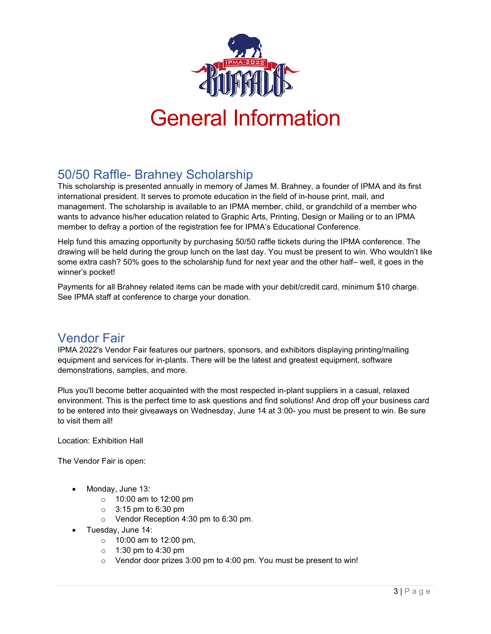

# 50/50 Raffle- Brahney Scholarship

This scholarship is presented annually in memory of James M. Brahney, a founder of IPMA and its first international president. It serves to promote education in the field of in-house print, mail, and management. The scholarship is available to an IPMA member, child, or grandchild of a member who wants to advance his/her education related to Graphic Arts, Printing, Design or Mailing or to an IPMA member to defray a portion of the registration fee for IPMA's Educational Conference.

Help fund this amazing opportunity by purchasing 50/50 raffle tickets during the IPMA conference. The drawing will be held during the group lunch on the last day. You must be present to win. Who wouldn't like some extra cash? 50% goes to the scholarship fund for next year and the other half– well, it goes in the winner's pocket!

Payments for all Brahney related items can be made with your debit/credit card, minimum \$10 charge. See IPMA staff at conference to charge your donation.

### Vendor Fair

IPMA 2022's Vendor Fair features our partners, sponsors, and exhibitors displaying printing/mailing equipment and services for in-plants. There will be the latest and greatest equipment, software demonstrations, samples, and more.

Plus you'll become better acquainted with the most respected in-plant suppliers in a casual, relaxed environment. This is the perfect time to ask questions and find solutions! And drop off your business card to be entered into their giveaways on Wednesday, June 14 at 3:00- you must be present to win. Be sure to visit them all!

Location: Exhibition Hall

The Vendor Fair is open:

- Monday, June 13:
	- o 10:00 am to 12:00 pm
	- $\circ$  3:15 pm to 6:30 pm
	- o Vendor Reception 4:30 pm to 6:30 pm.
- Tuesday, June 14:
	- o 10:00 am to 12:00 pm,
	- o 1:30 pm to 4:30 pm
	- o Vendor door prizes 3:00 pm to 4:00 pm. You must be present to win!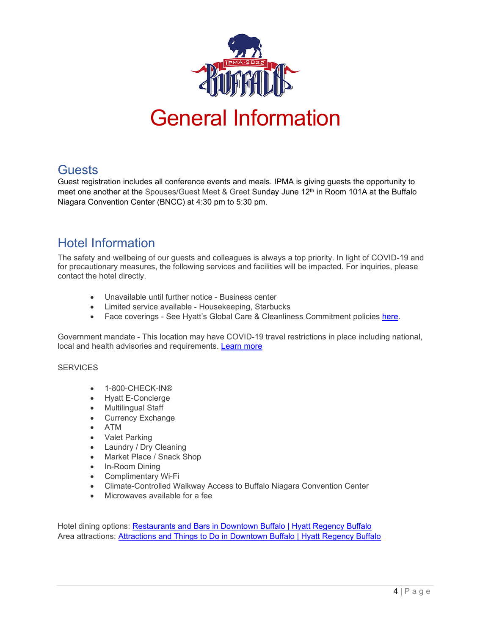

#### **Guests**

Guest registration includes all conference events and meals. IPMA is giving guests the opportunity to meet one another at the Spouses/Guest Meet & Greet Sunday June 12<sup>th</sup> in Room 101A at the Buffalo Niagara Convention Center (BNCC) at 4:30 pm to 5:30 pm.

# Hotel Information

The safety and wellbeing of our guests and colleagues is always a top priority. In light of COVID-19 and for precautionary measures, the following services and facilities will be impacted. For inquiries, please contact the hotel directly.

- Unavailable until further notice Business center
- Limited service available Housekeeping, Starbucks
- Face coverings See Hyatt's Global Care & Cleanliness Commitment policies [here.](https://www.hyatt.com/info/care-and-cleanliness-americas)

Government mandate - This location may have COVID-19 travel restrictions in place including national, local and health advisories and requirements. [Learn more](https://www.hyatt.com/en-US/info/covid-19-government-resources#ny)

#### **SERVICES**

- 1-800-CHECK-IN®
- Hyatt E-Concierge
- Multilingual Staff
- Currency Exchange
- ATM
- Valet Parking
- Laundry / Dry Cleaning
- Market Place / Snack Shop
- In-Room Dining
- Complimentary Wi-Fi
- Climate-Controlled Walkway Access to Buffalo Niagara Convention Center
- Microwaves available for a fee

Hotel dining options: [Restaurants and Bars in Downtown Buffalo | Hyatt Regency Buffalo](https://www.hyatt.com/en-US/hotel/new-york/hyatt-regency-buffalo-hotel-and-conference-center/buffa/dining) Area attractions: Attractions and [Things to Do in Downtown Buffalo | Hyatt Regency Buffalo](https://www.hyatt.com/en-US/hotel/new-york/hyatt-regency-buffalo-hotel-and-conference-center/buffa/area-attractions)